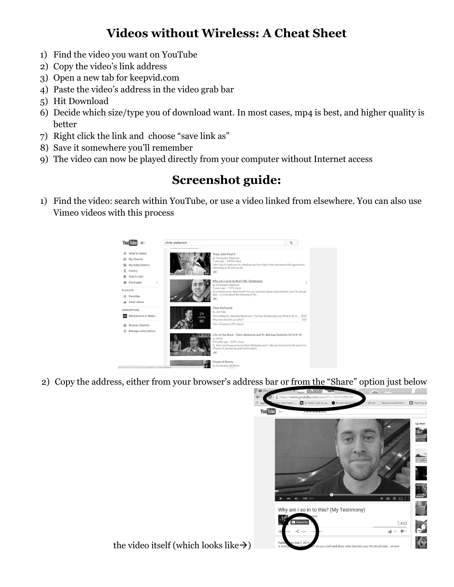## **Videos without Wireless: A Cheat Sheet**

- 1) Find the video you want on YouTube
- 2) Copy the video's link address
- 3) Open a new tab for keepvid.com
- 4) Paste the video's address in the video grab bar
- 5) Hit Download
- 6) Decide which size/type you of download want. In most cases, mp4 is best, and higher quality is better
- 7) Right click the link and choose "save link as"
- 8) Save it somewhere you'll remember
- 9) The video can now be played directly from your computer without Internet access

## **Screenshot guide:**

1) Find the video: search within YouTube, or use a video linked from elsewhere. You can also use Vimeo videos with this process



2) Copy the address, either from your browser's address bar or from the "Share" option just below



the video itself (which looks like $\rightarrow$ )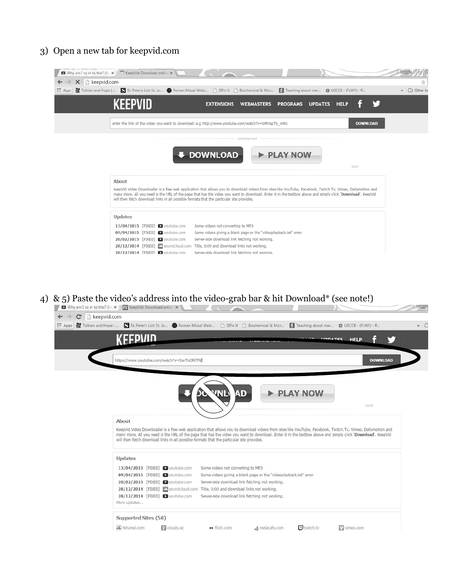## 3) Open a new tab for keepvid.com

| Why am I so in to this? (M x ) ^ KeepVid: Download online x |                                                                                                                                                              |                                                                                                                                                                                                                                                                                                                                                                                                                       |                   |                 |                |                                            |                 |             |
|-------------------------------------------------------------|--------------------------------------------------------------------------------------------------------------------------------------------------------------|-----------------------------------------------------------------------------------------------------------------------------------------------------------------------------------------------------------------------------------------------------------------------------------------------------------------------------------------------------------------------------------------------------------------------|-------------------|-----------------|----------------|--------------------------------------------|-----------------|-------------|
| Reepvid.com<br>$\times$<br>→<br>$\leftarrow$                |                                                                                                                                                              |                                                                                                                                                                                                                                                                                                                                                                                                                       |                   |                 |                |                                            |                 |             |
| ::: Apps                                                    |                                                                                                                                                              | Tolkien and Hope     St. Peter's List: St. Jo  In Roman Missal Webi  in DPin It [1] Biochemical & Micr                                                                                                                                                                                                                                                                                                                |                   |                 |                | S Teaching about mar (b USCCB - (FLWY) - R |                 | » C Other b |
|                                                             | KEEPVID                                                                                                                                                      | <b>EXTENSIONS</b>                                                                                                                                                                                                                                                                                                                                                                                                     | <b>WEBMASTERS</b> | <b>PROGRAMS</b> | <b>UPDATES</b> | <b>HELP</b>                                |                 |             |
|                                                             |                                                                                                                                                              | enter the link of the video you want to download: e.g http://www.youtube.com/watch?v=bMUxpTb_wWc                                                                                                                                                                                                                                                                                                                      |                   |                 |                |                                            | <b>DOWNLOAD</b> |             |
|                                                             |                                                                                                                                                              |                                                                                                                                                                                                                                                                                                                                                                                                                       | Advertisement     |                 |                |                                            |                 |             |
|                                                             |                                                                                                                                                              | <b>+ DOWNLOAD</b>                                                                                                                                                                                                                                                                                                                                                                                                     |                   | <b>PLAY NOW</b> |                | <b>i</b> Livid                             |                 |             |
|                                                             | About                                                                                                                                                        | KeepVid Video Downloader is a free web application that allows you to download videos from sites like YouTube, Facebook, Twitch.Tv, Vimeo, Dailymotion and<br>many more. All you need is the URL of the page that has the video you want to download. Enter it in the textbox above and simply click 'Download'. KeepVid<br>will then fetch download links in all possible formats that the particular site provides. |                   |                 |                |                                            |                 |             |
|                                                             | <b>Updates</b><br>13/04/2015 [FIXED] D youtube.com<br>09/04/2015 [FIXED] D youtube.com<br>20/02/2015 [FIXED] poutube.com<br>28/12/2014 [FIXED] 28/outube.com | Some videos not converting to MP3<br>Some videos giving a blank page or the "videoplayback.txt" error<br>Server-side download link fetching not working.<br>28/12/2014 [FIXED] Soundcloud.com Title, 0:00 and download links not working.<br>Server-side download link fetching not working.                                                                                                                          |                   |                 |                |                                            |                 |             |

4) & 5) Paste the video's address into the video-grab bar & hit Download\* (see note!)